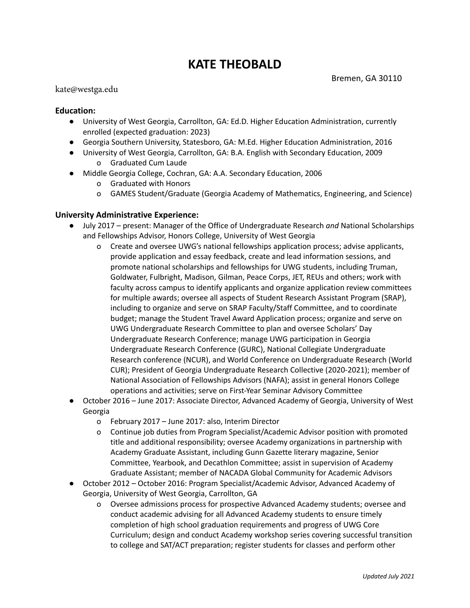# **KATE THEOBALD**

#### kate@westga.edu

## **Education:**

- University of West Georgia, Carrollton, GA: Ed.D. Higher Education Administration, currently enrolled (expected graduation: 2023)
- Georgia Southern University, Statesboro, GA: M.Ed. Higher Education Administration, 2016
- University of West Georgia, Carrollton, GA: B.A. English with Secondary Education, 2009 o Graduated Cum Laude
- Middle Georgia College, Cochran, GA: A.A. Secondary Education, 2006
	- o Graduated with Honors
	- o GAMES Student/Graduate (Georgia Academy of Mathematics, Engineering, and Science)

### **University Administrative Experience:**

- July 2017 present: Manager of the Office of Undergraduate Research *and* National Scholarships and Fellowships Advisor, Honors College, University of West Georgia
	- o Create and oversee UWG's national fellowships application process; advise applicants, provide application and essay feedback, create and lead information sessions, and promote national scholarships and fellowships for UWG students, including Truman, Goldwater, Fulbright, Madison, Gilman, Peace Corps, JET, REUs and others; work with faculty across campus to identify applicants and organize application review committees for multiple awards; oversee all aspects of Student Research Assistant Program (SRAP), including to organize and serve on SRAP Faculty/Staff Committee, and to coordinate budget; manage the Student Travel Award Application process; organize and serve on UWG Undergraduate Research Committee to plan and oversee Scholars' Day Undergraduate Research Conference; manage UWG participation in Georgia Undergraduate Research Conference (GURC), National Collegiate Undergraduate Research conference (NCUR), and World Conference on Undergraduate Research (World CUR); President of Georgia Undergraduate Research Collective (2020-2021); member of National Association of Fellowships Advisors (NAFA); assist in general Honors College operations and activities; serve on First-Year Seminar Advisory Committee
- October 2016 June 2017: Associate Director, Advanced Academy of Georgia, University of West Georgia
	- o February 2017 June 2017: also, Interim Director
	- o Continue job duties from Program Specialist/Academic Advisor position with promoted title and additional responsibility; oversee Academy organizations in partnership with Academy Graduate Assistant, including Gunn Gazette literary magazine, Senior Committee, Yearbook, and Decathlon Committee; assist in supervision of Academy Graduate Assistant; member of NACADA Global Community for Academic Advisors
- October 2012 October 2016: Program Specialist/Academic Advisor, Advanced Academy of Georgia, University of West Georgia, Carrollton, GA
	- o Oversee admissions process for prospective Advanced Academy students; oversee and conduct academic advising for all Advanced Academy students to ensure timely completion of high school graduation requirements and progress of UWG Core Curriculum; design and conduct Academy workshop series covering successful transition to college and SAT/ACT preparation; register students for classes and perform other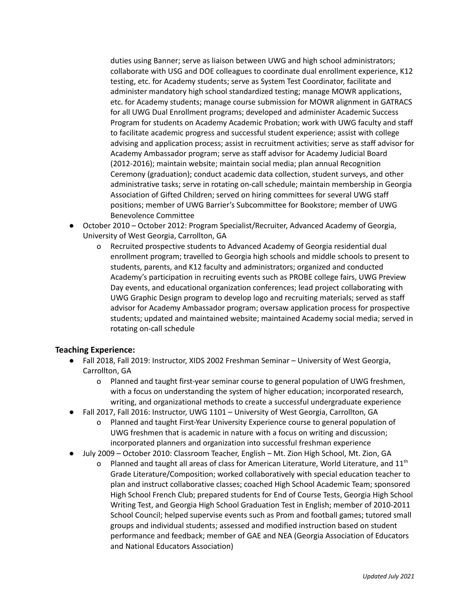duties using Banner; serve as liaison between UWG and high school administrators; collaborate with USG and DOE colleagues to coordinate dual enrollment experience, K12 testing, etc. for Academy students; serve as System Test Coordinator, facilitate and administer mandatory high school standardized testing; manage MOWR applications, etc. for Academy students; manage course submission for MOWR alignment in GATRACS for all UWG Dual Enrollment programs; developed and administer Academic Success Program for students on Academy Academic Probation; work with UWG faculty and staff to facilitate academic progress and successful student experience; assist with college advising and application process; assist in recruitment activities; serve as staff advisor for Academy Ambassador program; serve as staff advisor for Academy Judicial Board (2012-2016); maintain website; maintain social media; plan annual Recognition Ceremony (graduation); conduct academic data collection, student surveys, and other administrative tasks; serve in rotating on-call schedule; maintain membership in Georgia Association of Gifted Children; served on hiring committees for several UWG staff positions; member of UWG Barrier's Subcommittee for Bookstore; member of UWG Benevolence Committee

- October 2010 October 2012: Program Specialist/Recruiter, Advanced Academy of Georgia, University of West Georgia, Carrollton, GA
	- o Recruited prospective students to Advanced Academy of Georgia residential dual enrollment program; travelled to Georgia high schools and middle schools to present to students, parents, and K12 faculty and administrators; organized and conducted Academy's participation in recruiting events such as PROBE college fairs, UWG Preview Day events, and educational organization conferences; lead project collaborating with UWG Graphic Design program to develop logo and recruiting materials; served as staff advisor for Academy Ambassador program; oversaw application process for prospective students; updated and maintained website; maintained Academy social media; served in rotating on-call schedule

## **Teaching Experience:**

- Fall 2018, Fall 2019: Instructor, XIDS 2002 Freshman Seminar University of West Georgia, Carrollton, GA
	- o Planned and taught first-year seminar course to general population of UWG freshmen, with a focus on understanding the system of higher education; incorporated research, writing, and organizational methods to create a successful undergraduate experience
- Fall 2017, Fall 2016: Instructor, UWG 1101 University of West Georgia, Carrollton, GA
	- o Planned and taught First-Year University Experience course to general population of UWG freshmen that is academic in nature with a focus on writing and discussion; incorporated planners and organization into successful freshman experience
- July 2009 October 2010: Classroom Teacher, English Mt. Zion High School, Mt. Zion, GA
	- o Planned and taught all areas of class for American Literature, World Literature, and  $11<sup>th</sup>$ Grade Literature/Composition; worked collaboratively with special education teacher to plan and instruct collaborative classes; coached High School Academic Team; sponsored High School French Club; prepared students for End of Course Tests, Georgia High School Writing Test, and Georgia High School Graduation Test in English; member of 2010-2011 School Council; helped supervise events such as Prom and football games; tutored small groups and individual students; assessed and modified instruction based on student performance and feedback; member of GAE and NEA (Georgia Association of Educators and National Educators Association)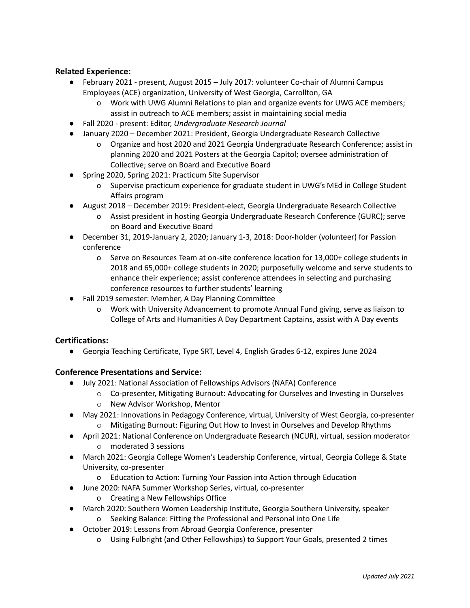## **Related Experience:**

- February 2021 present, August 2015 July 2017: volunteer Co-chair of Alumni Campus Employees (ACE) organization, University of West Georgia, Carrollton, GA
	- o Work with UWG Alumni Relations to plan and organize events for UWG ACE members; assist in outreach to ACE members; assist in maintaining social media
- Fall 2020 present: Editor, *Undergraduate Research Journal*
- January 2020 December 2021: President, Georgia Undergraduate Research Collective
	- o Organize and host 2020 and 2021 Georgia Undergraduate Research Conference; assist in planning 2020 and 2021 Posters at the Georgia Capitol; oversee administration of Collective; serve on Board and Executive Board
- Spring 2020, Spring 2021: Practicum Site Supervisor
	- o Supervise practicum experience for graduate student in UWG's MEd in College Student Affairs program
- August 2018 December 2019: President-elect, Georgia Undergraduate Research Collective
	- o Assist president in hosting Georgia Undergraduate Research Conference (GURC); serve on Board and Executive Board
- December 31, 2019-January 2, 2020; January 1-3, 2018: Door-holder (volunteer) for Passion conference
	- o Serve on Resources Team at on-site conference location for 13,000+ college students in 2018 and 65,000+ college students in 2020; purposefully welcome and serve students to enhance their experience; assist conference attendees in selecting and purchasing conference resources to further students' learning
- Fall 2019 semester: Member, A Day Planning Committee
	- o Work with University Advancement to promote Annual Fund giving, serve as liaison to College of Arts and Humanities A Day Department Captains, assist with A Day events

#### **Certifications:**

● Georgia Teaching Certificate, Type SRT, Level 4, English Grades 6-12, expires June 2024

#### **Conference Presentations and Service:**

- July 2021: National Association of Fellowships Advisors (NAFA) Conference
	- o Co-presenter, Mitigating Burnout: Advocating for Ourselves and Investing in Ourselves
	- o New Advisor Workshop, Mentor
- May 2021: Innovations in Pedagogy Conference, virtual, University of West Georgia, co-presenter
	- o Mitigating Burnout: Figuring Out How to Invest in Ourselves and Develop Rhythms
- April 2021: National Conference on Undergraduate Research (NCUR), virtual, session moderator o moderated 3 sessions
- March 2021: Georgia College Women's Leadership Conference, virtual, Georgia College & State University, co-presenter
	- o Education to Action: Turning Your Passion into Action through Education
- June 2020: NAFA Summer Workshop Series, virtual, co-presenter
	- o Creating a New Fellowships Office
- March 2020: Southern Women Leadership Institute, Georgia Southern University, speaker o Seeking Balance: Fitting the Professional and Personal into One Life
- October 2019: Lessons from Abroad Georgia Conference, presenter
	- o Using Fulbright (and Other Fellowships) to Support Your Goals, presented 2 times